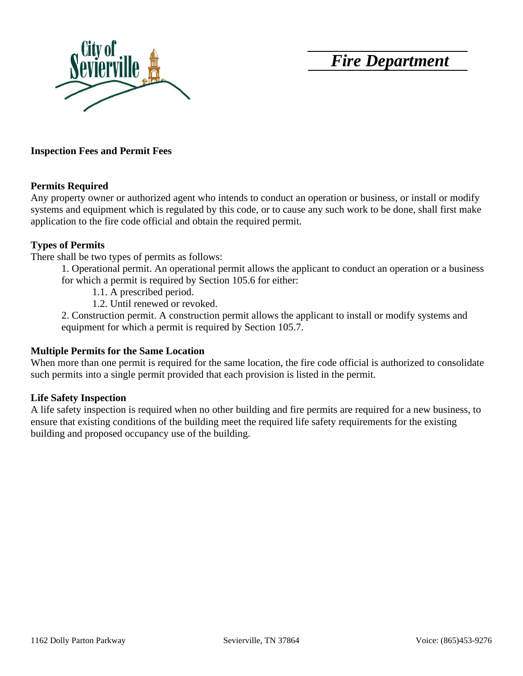*Fire Department*



#### **Inspection Fees and Permit Fees**

#### **Permits Required**

Any property owner or authorized agent who intends to conduct an operation or business, or install or modify systems and equipment which is regulated by this code, or to cause any such work to be done, shall first make application to the fire code official and obtain the required permit.

#### **Types of Permits**

There shall be two types of permits as follows:

1. Operational permit. An operational permit allows the applicant to conduct an operation or a business for which a permit is required by Section 105.6 for either:

1.1. A prescribed period.

1.2. Until renewed or revoked.

2. Construction permit. A construction permit allows the applicant to install or modify systems and equipment for which a permit is required by Section 105.7.

#### **Multiple Permits for the Same Location**

When more than one permit is required for the same location, the fire code official is authorized to consolidate such permits into a single permit provided that each provision is listed in the permit.

## **Life Safety Inspection**

A life safety inspection is required when no other building and fire permits are required for a new business, to ensure that existing conditions of the building meet the required life safety requirements for the existing building and proposed occupancy use of the building.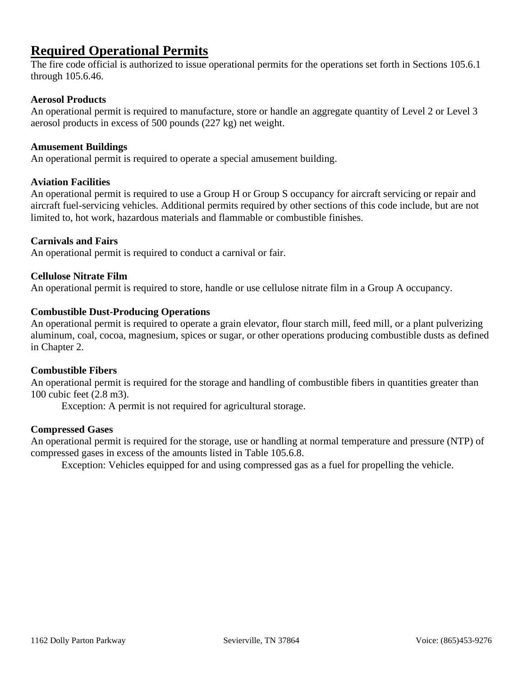# **Required Operational Permits**

The fire code official is authorized to issue operational permits for the operations set forth in Sections 105.6.1 through 105.6.46.

## **Aerosol Products**

An operational permit is required to manufacture, store or handle an aggregate quantity of Level 2 or Level 3 aerosol products in excess of 500 pounds (227 kg) net weight.

#### **Amusement Buildings**

An operational permit is required to operate a special amusement building.

#### **Aviation Facilities**

An operational permit is required to use a Group H or Group S occupancy for aircraft servicing or repair and aircraft fuel-servicing vehicles. Additional permits required by other sections of this code include, but are not limited to, hot work, hazardous materials and flammable or combustible finishes.

#### **Carnivals and Fairs**

An operational permit is required to conduct a carnival or fair.

#### **Cellulose Nitrate Film**

An operational permit is required to store, handle or use cellulose nitrate film in a Group A occupancy.

#### **Combustible Dust-Producing Operations**

An operational permit is required to operate a grain elevator, flour starch mill, feed mill, or a plant pulverizing aluminum, coal, cocoa, magnesium, spices or sugar, or other operations producing combustible dusts as defined in Chapter 2.

#### **Combustible Fibers**

An operational permit is required for the storage and handling of combustible fibers in quantities greater than 100 cubic feet (2.8 m3).

Exception: A permit is not required for agricultural storage.

## **Compressed Gases**

An operational permit is required for the storage, use or handling at normal temperature and pressure (NTP) of compressed gases in excess of the amounts listed in Table 105.6.8.

Exception: Vehicles equipped for and using compressed gas as a fuel for propelling the vehicle.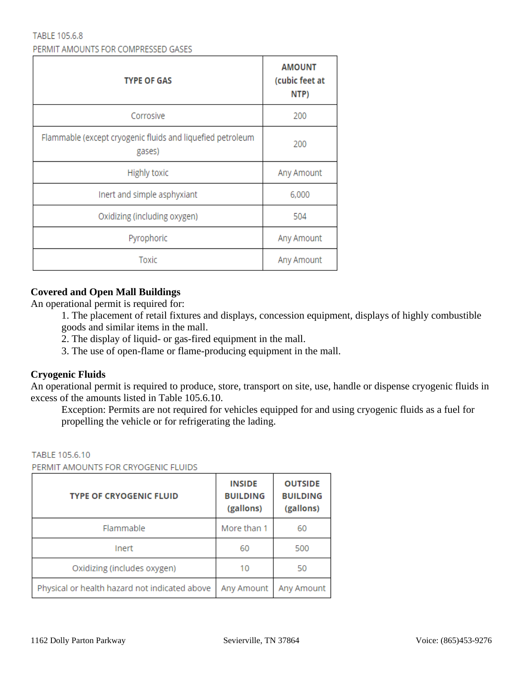#### TABLE 105.6.8 PERMIT AMOUNTS FOR COMPRESSED GASES

| <b>TYPE OF GAS</b>                                                   | <b>AMOUNT</b><br>(cubic feet at<br>NTP) |  |
|----------------------------------------------------------------------|-----------------------------------------|--|
| Corrosive                                                            | 200                                     |  |
| Flammable (except cryogenic fluids and liquefied petroleum<br>gases) | 200                                     |  |
| <b>Highly toxic</b>                                                  | Any Amount                              |  |
| Inert and simple asphyxiant                                          | 6,000                                   |  |
| Oxidizing (including oxygen)                                         | 504                                     |  |
| Pyrophoric                                                           | Any Amount                              |  |
| Toxic                                                                | Any Amount                              |  |

# **Covered and Open Mall Buildings**

An operational permit is required for:

- 1. The placement of retail fixtures and displays, concession equipment, displays of highly combustible goods and similar items in the mall.
- 2. The display of liquid- or gas-fired equipment in the mall.
- 3. The use of open-flame or flame-producing equipment in the mall.

# **Cryogenic Fluids**

An operational permit is required to produce, store, transport on site, use, handle or dispense cryogenic fluids in excess of the amounts listed in Table 105.6.10.

Exception: Permits are not required for vehicles equipped for and using cryogenic fluids as a fuel for propelling the vehicle or for refrigerating the lading.

#### TABLE 105.6.10

PERMIT AMOUNTS FOR CRYOGENIC FLUIDS

| <b>TYPE OF CRYOGENIC FLUID</b>                | <b>INSIDE</b><br><b>BUILDING</b><br>(gallons) | <b>OUTSIDE</b><br><b>BUILDING</b><br>(gallons) |
|-----------------------------------------------|-----------------------------------------------|------------------------------------------------|
| Flammable                                     | More than 1                                   | 60                                             |
| Inert                                         | 60                                            | 500                                            |
| Oxidizing (includes oxygen)                   | 10                                            | 50                                             |
| Physical or health hazard not indicated above | Any Amount                                    | Any Amount                                     |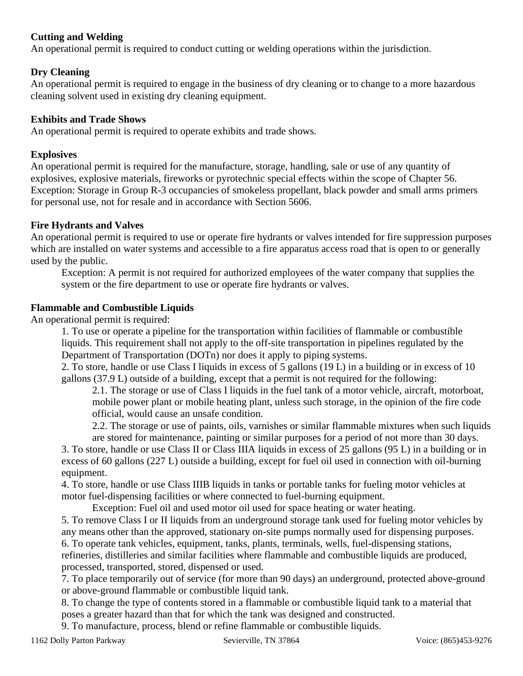# **Cutting and Welding**

An operational permit is required to conduct cutting or welding operations within the jurisdiction.

# **Dry Cleaning**

An operational permit is required to engage in the business of dry cleaning or to change to a more hazardous cleaning solvent used in existing dry cleaning equipment.

## **Exhibits and Trade Shows**

An operational permit is required to operate exhibits and trade shows.

# **Explosives**

An operational permit is required for the manufacture, storage, handling, sale or use of any quantity of explosives, explosive materials, fireworks or pyrotechnic special effects within the scope of Chapter 56. Exception: Storage in Group R-3 occupancies of smokeless propellant, black powder and small arms primers for personal use, not for resale and in accordance with Section 5606.

# **Fire Hydrants and Valves**

An operational permit is required to use or operate fire hydrants or valves intended for fire suppression purposes which are installed on water systems and accessible to a fire apparatus access road that is open to or generally used by the public.

Exception: A permit is not required for authorized employees of the water company that supplies the system or the fire department to use or operate fire hydrants or valves.

## **Flammable and Combustible Liquids**

An operational permit is required:

1. To use or operate a pipeline for the transportation within facilities of flammable or combustible liquids. This requirement shall not apply to the off-site transportation in pipelines regulated by the Department of Transportation (DOTn) nor does it apply to piping systems.

2. To store, handle or use Class I liquids in excess of 5 gallons (19 L) in a building or in excess of 10 gallons (37.9 L) outside of a building, except that a permit is not required for the following:

2.1. The storage or use of Class I liquids in the fuel tank of a motor vehicle, aircraft, motorboat, mobile power plant or mobile heating plant, unless such storage, in the opinion of the fire code official, would cause an unsafe condition.

2.2. The storage or use of paints, oils, varnishes or similar flammable mixtures when such liquids are stored for maintenance, painting or similar purposes for a period of not more than 30 days.

3. To store, handle or use Class II or Class IIIA liquids in excess of 25 gallons (95 L) in a building or in excess of 60 gallons (227 L) outside a building, except for fuel oil used in connection with oil-burning equipment.

4. To store, handle or use Class IIIB liquids in tanks or portable tanks for fueling motor vehicles at motor fuel-dispensing facilities or where connected to fuel-burning equipment.

Exception: Fuel oil and used motor oil used for space heating or water heating.

5. To remove Class I or II liquids from an underground storage tank used for fueling motor vehicles by any means other than the approved, stationary on-site pumps normally used for dispensing purposes. 6. To operate tank vehicles, equipment, tanks, plants, terminals, wells, fuel-dispensing stations, refineries, distilleries and similar facilities where flammable and combustible liquids are produced, processed, transported, stored, dispensed or used.

7. To place temporarily out of service (for more than 90 days) an underground, protected above-ground or above-ground flammable or combustible liquid tank.

8. To change the type of contents stored in a flammable or combustible liquid tank to a material that poses a greater hazard than that for which the tank was designed and constructed.

9. To manufacture, process, blend or refine flammable or combustible liquids.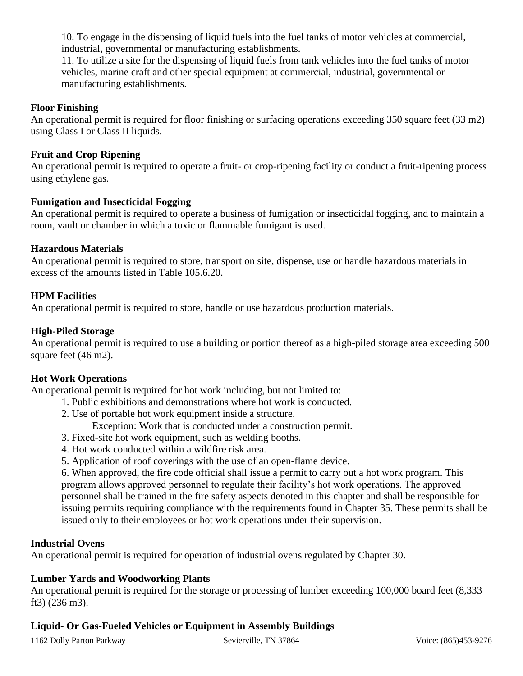10. To engage in the dispensing of liquid fuels into the fuel tanks of motor vehicles at commercial, industrial, governmental or manufacturing establishments.

11. To utilize a site for the dispensing of liquid fuels from tank vehicles into the fuel tanks of motor vehicles, marine craft and other special equipment at commercial, industrial, governmental or manufacturing establishments.

## **Floor Finishing**

An operational permit is required for floor finishing or surfacing operations exceeding 350 square feet (33 m2) using Class I or Class II liquids.

## **Fruit and Crop Ripening**

An operational permit is required to operate a fruit- or crop-ripening facility or conduct a fruit-ripening process using ethylene gas.

## **Fumigation and Insecticidal Fogging**

An operational permit is required to operate a business of fumigation or insecticidal fogging, and to maintain a room, vault or chamber in which a toxic or flammable fumigant is used.

## **Hazardous Materials**

An operational permit is required to store, transport on site, dispense, use or handle hazardous materials in excess of the amounts listed in Table 105.6.20.

## **HPM Facilities**

An operational permit is required to store, handle or use hazardous production materials.

## **High-Piled Storage**

An operational permit is required to use a building or portion thereof as a high-piled storage area exceeding 500 square feet (46 m2).

# **Hot Work Operations**

An operational permit is required for hot work including, but not limited to:

- 1. Public exhibitions and demonstrations where hot work is conducted.
- 2. Use of portable hot work equipment inside a structure.
	- Exception: Work that is conducted under a construction permit.
- 3. Fixed-site hot work equipment, such as welding booths.
- 4. Hot work conducted within a wildfire risk area.
- 5. Application of roof coverings with the use of an open-flame device.

6. When approved, the fire code official shall issue a permit to carry out a hot work program. This program allows approved personnel to regulate their facility's hot work operations. The approved personnel shall be trained in the fire safety aspects denoted in this chapter and shall be responsible for issuing permits requiring compliance with the requirements found in Chapter 35. These permits shall be issued only to their employees or hot work operations under their supervision.

## **Industrial Ovens**

An operational permit is required for operation of industrial ovens regulated by Chapter 30.

## **Lumber Yards and Woodworking Plants**

An operational permit is required for the storage or processing of lumber exceeding 100,000 board feet (8,333 ft3) (236 m3).

# **Liquid- Or Gas-Fueled Vehicles or Equipment in Assembly Buildings**

1162 Dolly Parton Parkway Sevierville, TN 37864 Voice: (865)453-9276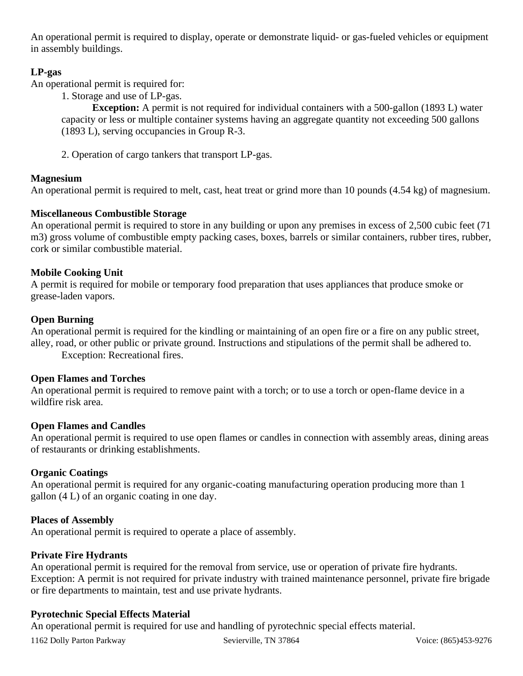An operational permit is required to display, operate or demonstrate liquid- or gas-fueled vehicles or equipment in assembly buildings.

# **LP-gas**

An operational permit is required for:

1. Storage and use of LP-gas.

**Exception:** A permit is not required for individual containers with a 500-gallon (1893 L) water capacity or less or multiple container systems having an aggregate quantity not exceeding 500 gallons (1893 L), serving occupancies in Group R-3.

2. Operation of cargo tankers that transport LP-gas.

# **Magnesium**

An operational permit is required to melt, cast, heat treat or grind more than 10 pounds (4.54 kg) of magnesium.

# **Miscellaneous Combustible Storage**

An operational permit is required to store in any building or upon any premises in excess of 2,500 cubic feet (71 m3) gross volume of combustible empty packing cases, boxes, barrels or similar containers, rubber tires, rubber, cork or similar combustible material.

# **Mobile Cooking Unit**

A permit is required for mobile or temporary food preparation that uses appliances that produce smoke or grease-laden vapors.

# **Open Burning**

An operational permit is required for the kindling or maintaining of an open fire or a fire on any public street, alley, road, or other public or private ground. Instructions and stipulations of the permit shall be adhered to.

Exception: Recreational fires.

# **Open Flames and Torches**

An operational permit is required to remove paint with a torch; or to use a torch or open-flame device in a wildfire risk area.

# **Open Flames and Candles**

An operational permit is required to use open flames or candles in connection with assembly areas, dining areas of restaurants or drinking establishments.

# **Organic Coatings**

An operational permit is required for any organic-coating manufacturing operation producing more than 1 gallon (4 L) of an organic coating in one day.

# **Places of Assembly**

An operational permit is required to operate a place of assembly.

# **Private Fire Hydrants**

An operational permit is required for the removal from service, use or operation of private fire hydrants. Exception: A permit is not required for private industry with trained maintenance personnel, private fire brigade or fire departments to maintain, test and use private hydrants.

# **Pyrotechnic Special Effects Material**

An operational permit is required for use and handling of pyrotechnic special effects material.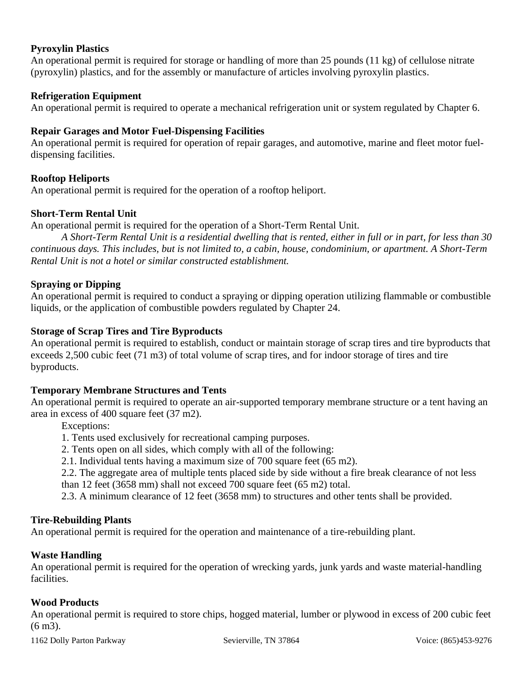## **Pyroxylin Plastics**

An operational permit is required for storage or handling of more than 25 pounds (11 kg) of cellulose nitrate (pyroxylin) plastics, and for the assembly or manufacture of articles involving pyroxylin plastics.

## **Refrigeration Equipment**

An operational permit is required to operate a mechanical refrigeration unit or system regulated by Chapter 6.

## **Repair Garages and Motor Fuel-Dispensing Facilities**

An operational permit is required for operation of repair garages, and automotive, marine and fleet motor fueldispensing facilities.

## **Rooftop Heliports**

An operational permit is required for the operation of a rooftop heliport.

## **Short-Term Rental Unit**

An operational permit is required for the operation of a Short-Term Rental Unit.

*A Short-Term Rental Unit is a residential dwelling that is rented, either in full or in part, for less than 30 continuous days. This includes, but is not limited to, a cabin, house, condominium, or apartment. A Short-Term Rental Unit is not a hotel or similar constructed establishment.*

## **Spraying or Dipping**

An operational permit is required to conduct a spraying or dipping operation utilizing flammable or combustible liquids, or the application of combustible powders regulated by Chapter 24.

## **Storage of Scrap Tires and Tire Byproducts**

An operational permit is required to establish, conduct or maintain storage of scrap tires and tire byproducts that exceeds 2,500 cubic feet (71 m3) of total volume of scrap tires, and for indoor storage of tires and tire byproducts.

## **Temporary Membrane Structures and Tents**

An operational permit is required to operate an air-supported temporary membrane structure or a tent having an area in excess of 400 square feet (37 m2).

Exceptions:

- 1. Tents used exclusively for recreational camping purposes.
- 2. Tents open on all sides, which comply with all of the following:
- 2.1. Individual tents having a maximum size of 700 square feet (65 m2).

2.2. The aggregate area of multiple tents placed side by side without a fire break clearance of not less than 12 feet (3658 mm) shall not exceed 700 square feet (65 m2) total.

2.3. A minimum clearance of 12 feet (3658 mm) to structures and other tents shall be provided.

## **Tire-Rebuilding Plants**

An operational permit is required for the operation and maintenance of a tire-rebuilding plant.

## **Waste Handling**

An operational permit is required for the operation of wrecking yards, junk yards and waste material-handling facilities.

## **Wood Products**

An operational permit is required to store chips, hogged material, lumber or plywood in excess of 200 cubic feet (6 m3).

1162 Dolly Parton Parkway Sevierville, TN 37864 Voice: (865)453-9276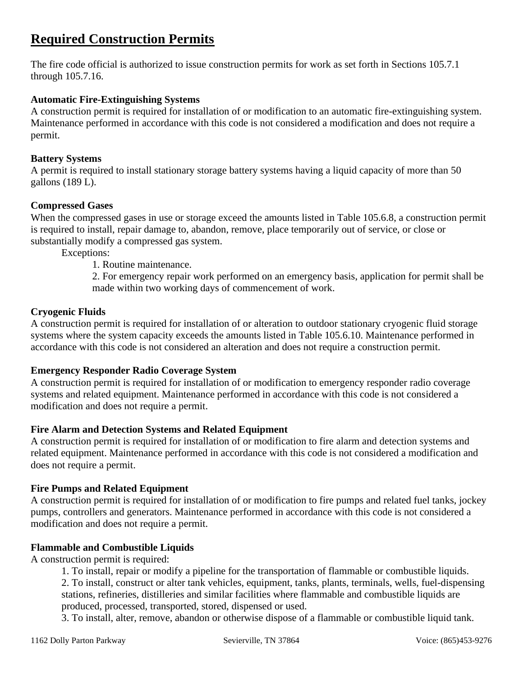# **Required Construction Permits**

The fire code official is authorized to issue construction permits for work as set forth in Sections 105.7.1 through 105.7.16.

## **Automatic Fire-Extinguishing Systems**

A construction permit is required for installation of or modification to an automatic fire-extinguishing system. Maintenance performed in accordance with this code is not considered a modification and does not require a permit.

## **Battery Systems**

A permit is required to install stationary storage battery systems having a liquid capacity of more than 50 gallons (189 L).

## **Compressed Gases**

When the compressed gases in use or storage exceed the amounts listed in Table 105.6.8, a construction permit is required to install, repair damage to, abandon, remove, place temporarily out of service, or close or substantially modify a compressed gas system.

Exceptions:

1. Routine maintenance.

2. For emergency repair work performed on an emergency basis, application for permit shall be made within two working days of commencement of work.

## **Cryogenic Fluids**

A construction permit is required for installation of or alteration to outdoor stationary cryogenic fluid storage systems where the system capacity exceeds the amounts listed in Table 105.6.10. Maintenance performed in accordance with this code is not considered an alteration and does not require a construction permit.

## **Emergency Responder Radio Coverage System**

A construction permit is required for installation of or modification to emergency responder radio coverage systems and related equipment. Maintenance performed in accordance with this code is not considered a modification and does not require a permit.

## **Fire Alarm and Detection Systems and Related Equipment**

A construction permit is required for installation of or modification to fire alarm and detection systems and related equipment. Maintenance performed in accordance with this code is not considered a modification and does not require a permit.

## **Fire Pumps and Related Equipment**

A construction permit is required for installation of or modification to fire pumps and related fuel tanks, jockey pumps, controllers and generators. Maintenance performed in accordance with this code is not considered a modification and does not require a permit.

# **Flammable and Combustible Liquids**

A construction permit is required:

1. To install, repair or modify a pipeline for the transportation of flammable or combustible liquids.

2. To install, construct or alter tank vehicles, equipment, tanks, plants, terminals, wells, fuel-dispensing stations, refineries, distilleries and similar facilities where flammable and combustible liquids are produced, processed, transported, stored, dispensed or used.

3. To install, alter, remove, abandon or otherwise dispose of a flammable or combustible liquid tank.